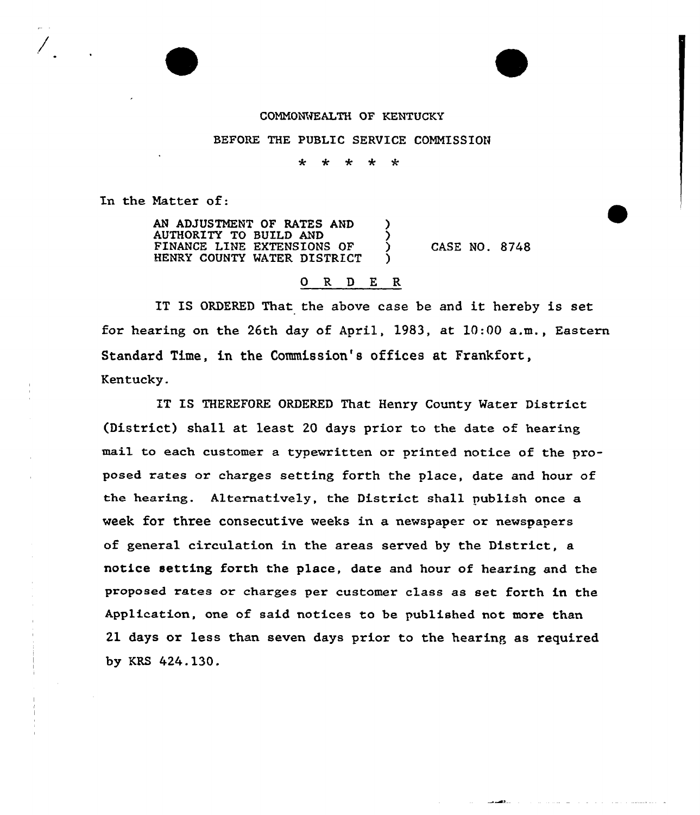## CONNOKVEALTH OF KENTUCKY

## BEFORE THE PUBLIC SERVICE COMMISSION

÷ 一大  $\star$ \*

In the Natter of:

AN ADJUSTMENT OF RATES AND ) AUTHORITY TO BUILD AND ) FINANCE LINE EXTENSIONS OF HENRY COUNTY WATER DISTRICT CASE NO. 8748

## 0 R <sup>D</sup> E R

IT IS ORDERED That the above case be and it hereby is set for hearing on the 26th day of April, 1983, at  $10:00$  a.m., Eastern Standard Time, in the Commission's offices at Frankfort, Kentucky.

IT IS THEREFORE ORDERED That Henry County Water District (District) shall at least 20 days prior to the date of hearing mail to each customer a typewritten or printed notice of the proposed rates ox charges setting forth the place, date and hour of the heaxing. Alternatively, the District shall publish once a week for three consecutive weeks in a newspaper or newspapers of general circulation in the areas served by the District, a notice setting forth the place, date and hour of hearing and the proposed rates or charges per customer class as set forth in the Application, one of said notices to be published not more than 21 days or less than seven days prior to the hearing as required by KRS 424.130.